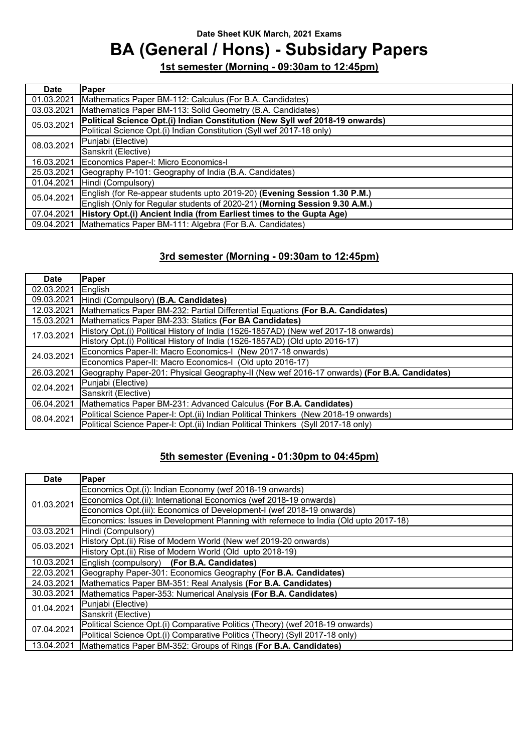# **BA (General / Hons) - Subsidary Papers**

**1st semester (Morning - 09:30am to 12:45pm)**

| Date       | Paper                                                                        |  |
|------------|------------------------------------------------------------------------------|--|
| 01.03.2021 | Mathematics Paper BM-112: Calculus (For B.A. Candidates)                     |  |
| 03.03.2021 | Mathematics Paper BM-113: Solid Geometry (B.A. Candidates)                   |  |
| 05.03.2021 | Political Science Opt.(i) Indian Constitution (New Syll wef 2018-19 onwards) |  |
|            | Political Science Opt.(i) Indian Constitution (Syll wef 2017-18 only)        |  |
| 08.03.2021 | Punjabi (Elective)                                                           |  |
|            | Sanskrit (Elective)                                                          |  |
| 16.03.2021 | Economics Paper-I: Micro Economics-I                                         |  |
| 25.03.2021 | Geography P-101: Geography of India (B.A. Candidates)                        |  |
| 01.04.2021 | Hindi (Compulsory)                                                           |  |
| 05.04.2021 | English (for Re-appear students upto 2019-20) (Evening Session 1.30 P.M.)    |  |
|            | English (Only for Regular students of 2020-21) (Morning Session 9.30 A.M.)   |  |
| 07.04.2021 | History Opt.(i) Ancient India (from Earliest times to the Gupta Age)         |  |
| 09.04.2021 | Mathematics Paper BM-111: Algebra (For B.A. Candidates)                      |  |

### **3rd semester (Morning - 09:30am to 12:45pm)**

| <b>Date</b> | Paper                                                                                      |  |  |
|-------------|--------------------------------------------------------------------------------------------|--|--|
| 02.03.2021  | English                                                                                    |  |  |
| 09.03.2021  | Hindi (Compulsory) (B.A. Candidates)                                                       |  |  |
| 12.03.2021  | Mathematics Paper BM-232: Partial Differential Equations (For B.A. Candidates)             |  |  |
| 15.03.2021  | Mathematics Paper BM-233: Statics (For BA Candidates)                                      |  |  |
| 17.03.2021  | History Opt.(i) Political History of India (1526-1857AD) (New wef 2017-18 onwards)         |  |  |
|             | History Opt.(i) Political History of India (1526-1857AD) (Old upto 2016-17)                |  |  |
| 24.03.2021  | Economics Paper-II: Macro Economics-I (New 2017-18 onwards)                                |  |  |
|             | Economics Paper-II: Macro Economics-I (Old upto 2016-17)                                   |  |  |
| 26.03.2021  | Geography Paper-201: Physical Geography-II (New wef 2016-17 onwards) (For B.A. Candidates) |  |  |
| 02.04.2021  | Punjabi (Elective)                                                                         |  |  |
|             | Sanskrit (Elective)                                                                        |  |  |
| 06.04.2021  | Mathematics Paper BM-231: Advanced Calculus (For B.A. Candidates)                          |  |  |
| 08.04.2021  | Political Science Paper-I: Opt.(ii) Indian Political Thinkers (New 2018-19 onwards)        |  |  |
|             | Political Science Paper-I: Opt.(ii) Indian Political Thinkers (Syll 2017-18 only)          |  |  |

| <b>Date</b> | Paper                                                                                |  |  |
|-------------|--------------------------------------------------------------------------------------|--|--|
| 01.03.2021  | Economics Opt.(i): Indian Economy (wef 2018-19 onwards)                              |  |  |
|             | Economics Opt.(ii): International Economics (wef 2018-19 onwards)                    |  |  |
|             | Economics Opt. (iii): Economics of Development-I (wef 2018-19 onwards)               |  |  |
|             | Economics: Issues in Development Planning with refernece to India (Old upto 2017-18) |  |  |
| 03.03.2021  | Hindi (Compulsory)                                                                   |  |  |
| 05.03.2021  | History Opt.(ii) Rise of Modern World (New wef 2019-20 onwards)                      |  |  |
|             | History Opt. (ii) Rise of Modern World (Old upto 2018-19)                            |  |  |
| 10.03.2021  | English (compulsory) (For B.A. Candidates)                                           |  |  |
| 22.03.2021  | Geography Paper-301: Economics Geography (For B.A. Candidates)                       |  |  |
| 24.03.2021  | Mathematics Paper BM-351: Real Analysis (For B.A. Candidates)                        |  |  |
| 30.03.2021  | Mathematics Paper-353: Numerical Analysis (For B.A. Candidates)                      |  |  |
| 01.04.2021  | Punjabi (Elective)                                                                   |  |  |
|             | Sanskrit (Elective)                                                                  |  |  |
| 07.04.2021  | Political Science Opt.(i) Comparative Politics (Theory) (wef 2018-19 onwards)        |  |  |
|             | Political Science Opt.(i) Comparative Politics (Theory) (Syll 2017-18 only)          |  |  |
| 13.04.2021  | Mathematics Paper BM-352: Groups of Rings (For B.A. Candidates)                      |  |  |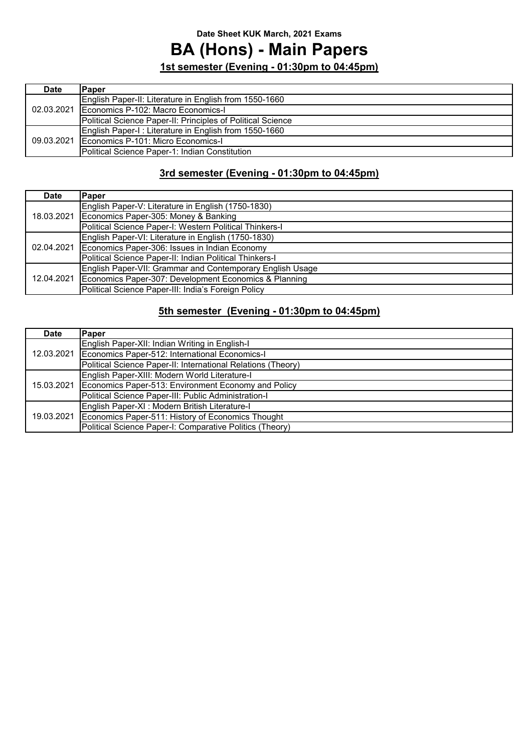## **BA (Hons) - Main Papers**

**1st semester (Evening - 01:30pm to 04:45pm)**

| <b>Date</b> | Paper                                                       |
|-------------|-------------------------------------------------------------|
|             | English Paper-II: Literature in English from 1550-1660      |
|             | 02.03.2021   Economics P-102: Macro Economics-I             |
|             | Political Science Paper-II: Principles of Political Science |
| 09.03.2021  | English Paper-I: Literature in English from 1550-1660       |
|             | Economics P-101: Micro Economics-I                          |
|             | Political Science Paper-1: Indian Constitution              |

### **3rd semester (Evening - 01:30pm to 04:45pm)**

| <b>Date</b> | Paper                                                     |
|-------------|-----------------------------------------------------------|
| 18.03.2021  | English Paper-V: Literature in English (1750-1830)        |
|             | Economics Paper-305: Money & Banking                      |
|             | Political Science Paper-I: Western Political Thinkers-I   |
| 02.04.2021  | English Paper-VI: Literature in English (1750-1830)       |
|             | Economics Paper-306: Issues in Indian Economy             |
|             | Political Science Paper-II: Indian Political Thinkers-I   |
| 12.04.2021  | English Paper-VII: Grammar and Contemporary English Usage |
|             | Economics Paper-307: Development Economics & Planning     |
|             | Political Science Paper-III: India's Foreign Policy       |

| <b>Date</b> | Paper                                                        |
|-------------|--------------------------------------------------------------|
| 12.03.2021  | English Paper-XII: Indian Writing in English-I               |
|             | Economics Paper-512: International Economics-I               |
|             | Political Science Paper-II: International Relations (Theory) |
| 15.03.2021  | English Paper-XIII: Modern World Literature-I                |
|             | Economics Paper-513: Environment Economy and Policy          |
|             | Political Science Paper-III: Public Administration-I         |
| 19.03.2021  | English Paper-XI : Modern British Literature-I               |
|             | Economics Paper-511: History of Economics Thought            |
|             | Political Science Paper-I: Comparative Politics (Theory)     |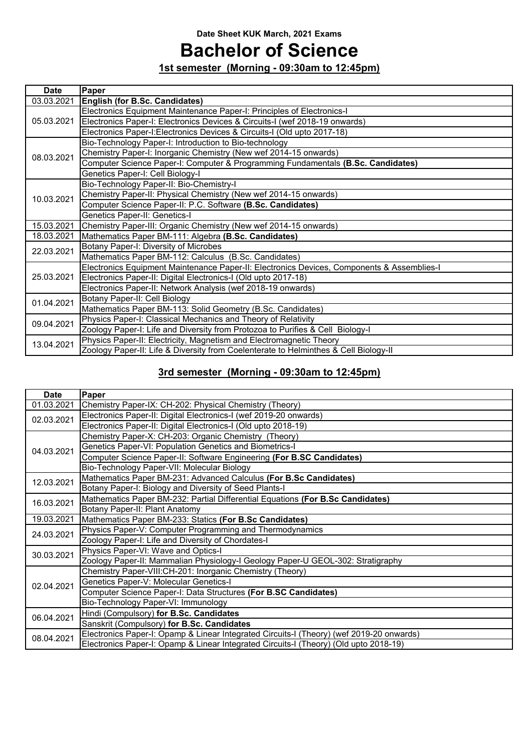# **Bachelor of Science**

**1st semester (Morning - 09:30am to 12:45pm)**

| <b>Date</b> | Paper                                                                                      |  |  |
|-------------|--------------------------------------------------------------------------------------------|--|--|
| 03.03.2021  | <b>English (for B.Sc. Candidates)</b>                                                      |  |  |
| 05.03.2021  | Electronics Equipment Maintenance Paper-I: Principles of Electronics-I                     |  |  |
|             | Electronics Paper-I: Electronics Devices & Circuits-I (wef 2018-19 onwards)                |  |  |
|             | Electronics Paper-I: Electronics Devices & Circuits-I (Old upto 2017-18)                   |  |  |
|             | Bio-Technology Paper-I: Introduction to Bio-technology                                     |  |  |
| 08.03.2021  | Chemistry Paper-I: Inorganic Chemistry (New wef 2014-15 onwards)                           |  |  |
|             | Computer Science Paper-I: Computer & Programming Fundamentals (B.Sc. Candidates)           |  |  |
|             | Genetics Paper-I: Cell Biology-I                                                           |  |  |
|             | Bio-Technology Paper-II: Bio-Chemistry-I                                                   |  |  |
| 10.03.2021  | Chemistry Paper-II: Physical Chemistry (New wef 2014-15 onwards)                           |  |  |
|             | Computer Science Paper-II: P.C. Software (B.Sc. Candidates)                                |  |  |
|             | Genetics Paper-II: Genetics-I                                                              |  |  |
| 15.03.2021  | Chemistry Paper-III: Organic Chemistry (New wef 2014-15 onwards)                           |  |  |
| 18.03.2021  | Mathematics Paper BM-111: Algebra (B.Sc. Candidates)                                       |  |  |
| 22.03.2021  | Botany Paper-I: Diversity of Microbes                                                      |  |  |
|             | Mathematics Paper BM-112: Calculus (B.Sc. Candidates)                                      |  |  |
|             | Electronics Equipment Maintenance Paper-II: Electronics Devices, Components & Assemblies-I |  |  |
| 25.03.2021  | Electronics Paper-II: Digital Electronics-I (Old upto 2017-18)                             |  |  |
|             | Electronics Paper-II: Network Analysis (wef 2018-19 onwards)                               |  |  |
| 01.04.2021  | Botany Paper-II: Cell Biology                                                              |  |  |
|             | Mathematics Paper BM-113: Solid Geometry (B.Sc. Candidates)                                |  |  |
| 09.04.2021  | Physics Paper-I: Classical Mechanics and Theory of Relativity                              |  |  |
|             | Zoology Paper-I: Life and Diversity from Protozoa to Purifies & Cell Biology-I             |  |  |
| 13.04.2021  | Physics Paper-II: Electricity, Magnetism and Electromagnetic Theory                        |  |  |
|             | Zoology Paper-II: Life & Diversity from Coelenterate to Helminthes & Cell Biology-II       |  |  |

### **3rd semester (Morning - 09:30am to 12:45pm)**

| <b>Date</b> | Paper                                                                                    |  |  |
|-------------|------------------------------------------------------------------------------------------|--|--|
| 01.03.2021  | Chemistry Paper-IX: CH-202: Physical Chemistry (Theory)                                  |  |  |
| 02.03.2021  | Electronics Paper-II: Digital Electronics-I (wef 2019-20 onwards)                        |  |  |
|             | Electronics Paper-II: Digital Electronics-I (Old upto 2018-19)                           |  |  |
|             | Chemistry Paper-X: CH-203: Organic Chemistry (Theory)                                    |  |  |
| 04.03.2021  | Genetics Paper-VI: Population Genetics and Biometrics-I                                  |  |  |
|             | Computer Science Paper-II: Software Engineering (For B.SC Candidates)                    |  |  |
|             | Bio-Technology Paper-VII: Molecular Biology                                              |  |  |
| 12.03.2021  | Mathematics Paper BM-231: Advanced Calculus (For B.Sc Candidates)                        |  |  |
|             | Botany Paper-I: Biology and Diversity of Seed Plants-I                                   |  |  |
| 16.03.2021  | Mathematics Paper BM-232: Partial Differential Equations (For B.Sc Candidates)           |  |  |
|             | Botany Paper-II: Plant Anatomy                                                           |  |  |
| 19.03.2021  | Mathematics Paper BM-233: Statics (For B.Sc Candidates)                                  |  |  |
| 24.03.2021  | Physics Paper-V: Computer Programming and Thermodynamics                                 |  |  |
|             | Zoology Paper-I: Life and Diversity of Chordates-I                                       |  |  |
| 30.03.2021  | Physics Paper-VI: Wave and Optics-I                                                      |  |  |
|             | Zoology Paper-II: Mammalian Physiology-I Geology Paper-U GEOL-302: Stratigraphy          |  |  |
|             | Chemistry Paper-VIII:CH-201: Inorganic Chemistry (Theory)                                |  |  |
| 02.04.2021  | Genetics Paper-V: Molecular Genetics-I                                                   |  |  |
|             | Computer Science Paper-I: Data Structures (For B.SC Candidates)                          |  |  |
|             | Bio-Technology Paper-VI: Immunology                                                      |  |  |
| 06.04.2021  | Hindi (Compulsory) for B.Sc. Candidates                                                  |  |  |
|             | Sanskrit (Compulsory) for B.Sc. Candidates                                               |  |  |
| 08.04.2021  | Electronics Paper-I: Opamp & Linear Integrated Circuits-I (Theory) (wef 2019-20 onwards) |  |  |
|             | Electronics Paper-I: Opamp & Linear Integrated Circuits-I (Theory) (Old upto 2018-19)    |  |  |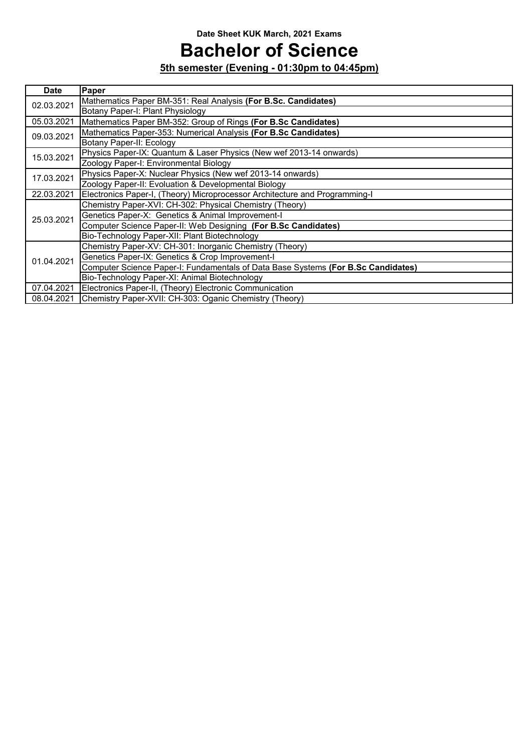# **Bachelor of Science**

| <b>Date</b> | Paper                                                                             |  |  |
|-------------|-----------------------------------------------------------------------------------|--|--|
| 02.03.2021  | Mathematics Paper BM-351: Real Analysis (For B.Sc. Candidates)                    |  |  |
|             | Botany Paper-I: Plant Physiology                                                  |  |  |
| 05.03.2021  | Mathematics Paper BM-352: Group of Rings (For B.Sc Candidates)                    |  |  |
| 09.03.2021  | Mathematics Paper-353: Numerical Analysis (For B.Sc Candidates)                   |  |  |
|             | Botany Paper-II: Ecology                                                          |  |  |
| 15.03.2021  | Physics Paper-IX: Quantum & Laser Physics (New wef 2013-14 onwards)               |  |  |
|             | Zoology Paper-I: Environmental Biology                                            |  |  |
| 17.03.2021  | Physics Paper-X: Nuclear Physics (New wef 2013-14 onwards)                        |  |  |
|             | Zoology Paper-II: Evoluation & Developmental Biology                              |  |  |
| 22.03.2021  | Electronics Paper-I, (Theory) Microprocessor Architecture and Programming-I       |  |  |
|             | Chemistry Paper-XVI: CH-302: Physical Chemistry (Theory)                          |  |  |
| 25.03.2021  | Genetics Paper-X: Genetics & Animal Improvement-I                                 |  |  |
|             | Computer Science Paper-II: Web Designing (For B.Sc Candidates)                    |  |  |
|             | Bio-Technology Paper-XII: Plant Biotechnology                                     |  |  |
|             | Chemistry Paper-XV: CH-301: Inorganic Chemistry (Theory)                          |  |  |
| 01.04.2021  | Genetics Paper-IX: Genetics & Crop Improvement-I                                  |  |  |
|             | Computer Science Paper-I: Fundamentals of Data Base Systems (For B.Sc Candidates) |  |  |
|             | Bio-Technology Paper-XI: Animal Biotechnology                                     |  |  |
| 07.04.2021  | Electronics Paper-II, (Theory) Electronic Communication                           |  |  |
| 08.04.2021  | Chemistry Paper-XVII: CH-303: Oganic Chemistry (Theory)                           |  |  |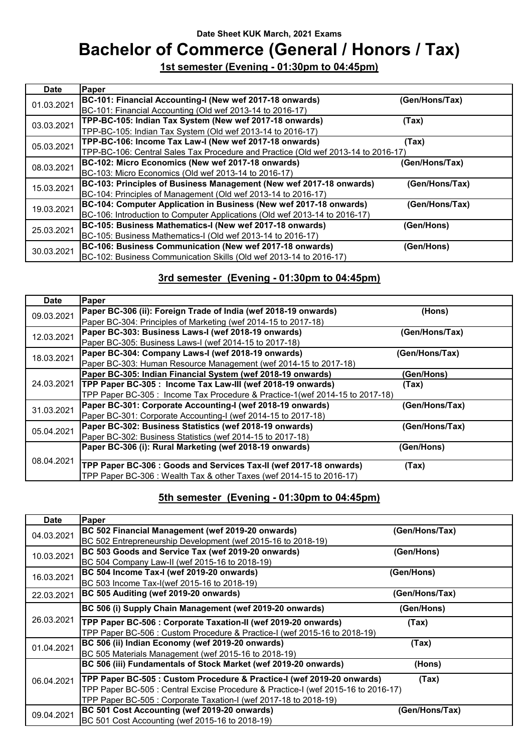## **Bachelor of Commerce (General / Honors / Tax)**

**1st semester (Evening - 01:30pm to 04:45pm)**

| <b>Date</b> | Paper                                                                             |                |
|-------------|-----------------------------------------------------------------------------------|----------------|
| 01.03.2021  | BC-101: Financial Accounting-I (New wef 2017-18 onwards)                          | (Gen/Hons/Tax) |
|             | BC-101: Financial Accounting (Old wef 2013-14 to 2016-17)                         |                |
| 03.03.2021  | TPP-BC-105: Indian Tax System (New wef 2017-18 onwards)                           | (Tax)          |
|             | TPP-BC-105: Indian Tax System (Old wef 2013-14 to 2016-17)                        |                |
| 05.03.2021  | TPP-BC-106: Income Tax Law-I (New wef 2017-18 onwards)                            | (Tax)          |
|             | TPP-BC-106: Central Sales Tax Procedure and Practice (Old wef 2013-14 to 2016-17) |                |
| 08.03.2021  | BC-102: Micro Economics (New wef 2017-18 onwards)                                 | (Gen/Hons/Tax) |
|             | BC-103: Micro Economics (Old wef 2013-14 to 2016-17)                              |                |
| 15.03.2021  | BC-103: Principles of Business Management (New wef 2017-18 onwards)               | (Gen/Hons/Tax) |
|             | BC-104: Principles of Management (Old wef 2013-14 to 2016-17)                     |                |
| 19.03.2021  | BC-104: Computer Application in Business (New wef 2017-18 onwards)                | (Gen/Hons/Tax) |
|             | BC-106: Introduction to Computer Applications (Old wef 2013-14 to 2016-17)        |                |
| 25.03.2021  | BC-105: Business Mathematics-I (New wef 2017-18 onwards)                          | (Gen/Hons)     |
|             | BC-105: Business Mathematics-I (Old wef 2013-14 to 2016-17)                       |                |
| 30.03.2021  | BC-106: Business Communication (New wef 2017-18 onwards)                          | (Gen/Hons)     |
|             | BC-102: Business Communication Skills (Old wef 2013-14 to 2016-17)                |                |

### **3rd semester (Evening - 01:30pm to 04:45pm)**

| <b>Date</b> | <b>Paper</b>                                                                 |                |
|-------------|------------------------------------------------------------------------------|----------------|
| 09.03.2021  | Paper BC-306 (ii): Foreign Trade of India (wef 2018-19 onwards)              | (Hons)         |
|             | Paper BC-304: Principles of Marketing (wef 2014-15 to 2017-18)               |                |
| 12.03.2021  | Paper BC-303: Business Laws-I (wef 2018-19 onwards)                          | (Gen/Hons/Tax) |
|             | Paper BC-305: Business Laws-I (wef 2014-15 to 2017-18)                       |                |
| 18.03.2021  | Paper BC-304: Company Laws-I (wef 2018-19 onwards)                           | (Gen/Hons/Tax) |
|             | Paper BC-303: Human Resource Management (wef 2014-15 to 2017-18)             |                |
| 24.03.2021  | Paper BC-305: Indian Financial System (wef 2018-19 onwards)                  | (Gen/Hons)     |
|             | TPP Paper BC-305: Income Tax Law-III (wef 2018-19 onwards)                   | (Tax)          |
|             | TPP Paper BC-305 : Income Tax Procedure & Practice-1(wef 2014-15 to 2017-18) |                |
| 31.03.2021  | Paper BC-301: Corporate Accounting-I (wef 2018-19 onwards)                   | (Gen/Hons/Tax) |
|             | Paper BC-301: Corporate Accounting-I (wef 2014-15 to 2017-18)                |                |
| 05.04.2021  | Paper BC-302: Business Statistics (wef 2018-19 onwards)                      | (Gen/Hons/Tax) |
|             | Paper BC-302: Business Statistics (wef 2014-15 to 2017-18)                   |                |
| 08.04.2021  | Paper BC-306 (i): Rural Marketing (wef 2018-19 onwards)                      | (Gen/Hons)     |
|             |                                                                              |                |
|             | TPP Paper BC-306 : Goods and Services Tax-II (wef 2017-18 onwards)           | (Tax)          |
|             | TPP Paper BC-306 : Wealth Tax & other Taxes (wef 2014-15 to 2016-17)         |                |

| <b>Date</b> | Paper                                                                             |                |
|-------------|-----------------------------------------------------------------------------------|----------------|
| 04.03.2021  | BC 502 Financial Management (wef 2019-20 onwards)                                 | (Gen/Hons/Tax) |
|             | BC 502 Entrepreneurship Development (wef 2015-16 to 2018-19)                      |                |
| 10.03.2021  | BC 503 Goods and Service Tax (wef 2019-20 onwards)                                | (Gen/Hons)     |
|             | BC 504 Company Law-II (wef 2015-16 to 2018-19)                                    |                |
| 16.03.2021  | BC 504 Income Tax-I (wef 2019-20 onwards)                                         | (Gen/Hons)     |
|             | BC 503 Income Tax-I(wef 2015-16 to 2018-19)                                       |                |
| 22.03.2021  | BC 505 Auditing (wef 2019-20 onwards)                                             | (Gen/Hons/Tax) |
|             | BC 506 (i) Supply Chain Management (wef 2019-20 onwards)                          | (Gen/Hons)     |
| 26.03.2021  | TPP Paper BC-506 : Corporate Taxation-II (wef 2019-20 onwards)                    | (Tax)          |
|             | TPP Paper BC-506 : Custom Procedure & Practice-I (wef 2015-16 to 2018-19)         |                |
| 01.04.2021  | BC 506 (ii) Indian Economy (wef 2019-20 onwards)                                  | (Tax)          |
|             | BC 505 Materials Management (wef 2015-16 to 2018-19)                              |                |
| 06.04.2021  | BC 506 (iii) Fundamentals of Stock Market (wef 2019-20 onwards)                   | (Hons)         |
|             | TPP Paper BC-505 : Custom Procedure & Practice-I (wef 2019-20 onwards)            | (Tax)          |
|             | TPP Paper BC-505 : Central Excise Procedure & Practice-I (wef 2015-16 to 2016-17) |                |
|             | TPP Paper BC-505 : Corporate Taxation-I (wef 2017-18 to 2018-19)                  |                |
| 09.04.2021  | BC 501 Cost Accounting (wef 2019-20 onwards)                                      | (Gen/Hons/Tax) |
|             | BC 501 Cost Accounting (wef 2015-16 to 2018-19)                                   |                |